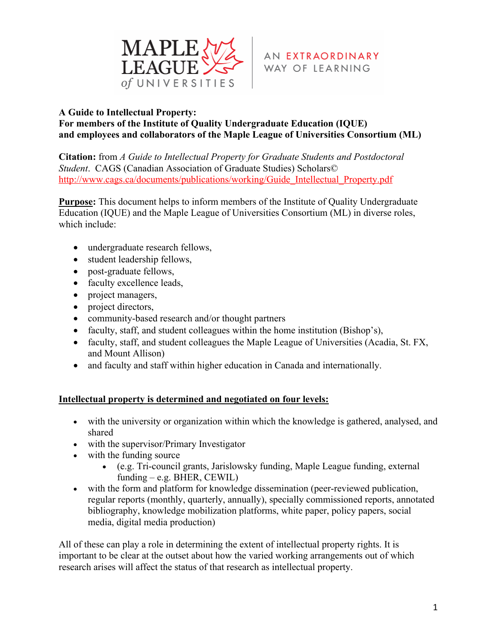

### **A Guide to Intellectual Property:**

### **For members of the Institute of Quality Undergraduate Education (IQUE) and employees and collaborators of the Maple League of Universities Consortium (ML)**

**Citation:** from *A Guide to Intellectual Property for Graduate Students and Postdoctoral Student*. CAGS (Canadian Association of Graduate Studies) Scholars© http://www.cags.ca/documents/publications/working/Guide\_Intellectual\_Property.pdf

**Purpose:** This document helps to inform members of the Institute of Quality Undergraduate Education (IQUE) and the Maple League of Universities Consortium (ML) in diverse roles, which include:

- undergraduate research fellows,
- student leadership fellows,
- post-graduate fellows,
- faculty excellence leads,
- project managers,
- project directors,
- community-based research and/or thought partners
- faculty, staff, and student colleagues within the home institution (Bishop's),
- faculty, staff, and student colleagues the Maple League of Universities (Acadia, St. FX, and Mount Allison)
- and faculty and staff within higher education in Canada and internationally.

#### **Intellectual property is determined and negotiated on four levels:**

- with the university or organization within which the knowledge is gathered, analysed, and shared
- with the supervisor/Primary Investigator
- with the funding source
	- (e.g. Tri-council grants, Jarislowsky funding, Maple League funding, external funding – e.g. BHER, CEWIL)
- with the form and platform for knowledge dissemination (peer-reviewed publication, regular reports (monthly, quarterly, annually), specially commissioned reports, annotated bibliography, knowledge mobilization platforms, white paper, policy papers, social media, digital media production)

All of these can play a role in determining the extent of intellectual property rights. It is important to be clear at the outset about how the varied working arrangements out of which research arises will affect the status of that research as intellectual property.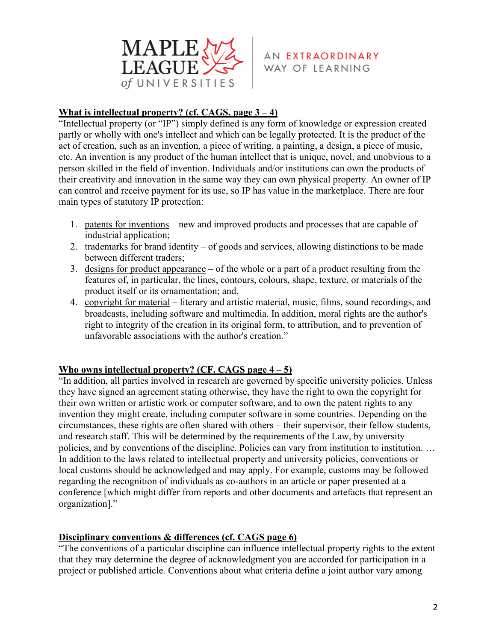

## **What is intellectual property? (cf. CAGS, page 3 – 4)**

"Intellectual property (or "IP") simply defined is any form of knowledge or expression created partly or wholly with one's intellect and which can be legally protected. It is the product of the act of creation, such as an invention, a piece of writing, a painting, a design, a piece of music, etc. An invention is any product of the human intellect that is unique, novel, and unobvious to a person skilled in the field of invention. Individuals and/or institutions can own the products of their creativity and innovation in the same way they can own physical property. An owner of IP can control and receive payment for its use, so IP has value in the marketplace. There are four main types of statutory IP protection:

- 1. patents for inventions new and improved products and processes that are capable of industrial application;
- 2. trademarks for brand identity of goods and services, allowing distinctions to be made between different traders;
- 3. designs for product appearance of the whole or a part of a product resulting from the features of, in particular, the lines, contours, colours, shape, texture, or materials of the product itself or its ornamentation; and,
- 4. copyright for material literary and artistic material, music, films, sound recordings, and broadcasts, including software and multimedia. In addition, moral rights are the author's right to integrity of the creation in its original form, to attribution, and to prevention of unfavorable associations with the author's creation."

## **Who owns intellectual property? (CF. CAGS page 4 – 5)**

"In addition, all parties involved in research are governed by specific university policies. Unless they have signed an agreement stating otherwise, they have the right to own the copyright for their own written or artistic work or computer software, and to own the patent rights to any invention they might create, including computer software in some countries. Depending on the circumstances, these rights are often shared with others – their supervisor, their fellow students, and research staff. This will be determined by the requirements of the Law, by university policies, and by conventions of the discipline. Policies can vary from institution to institution. … In addition to the laws related to intellectual property and university policies, conventions or local customs should be acknowledged and may apply. For example, customs may be followed regarding the recognition of individuals as co-authors in an article or paper presented at a conference [which might differ from reports and other documents and artefacts that represent an organization]."

## **Disciplinary conventions & differences (cf. CAGS page 6)**

"The conventions of a particular discipline can influence intellectual property rights to the extent that they may determine the degree of acknowledgment you are accorded for participation in a project or published article. Conventions about what criteria define a joint author vary among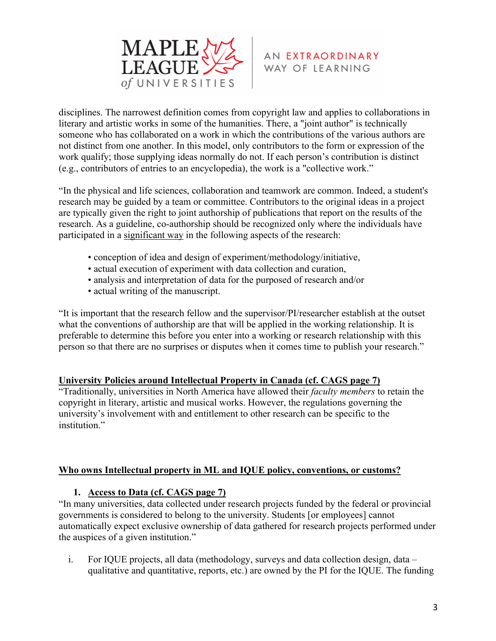

disciplines. The narrowest definition comes from copyright law and applies to collaborations in literary and artistic works in some of the humanities. There, a "joint author" is technically someone who has collaborated on a work in which the contributions of the various authors are not distinct from one another. In this model, only contributors to the form or expression of the work qualify; those supplying ideas normally do not. If each person's contribution is distinct (e.g., contributors of entries to an encyclopedia), the work is a "collective work."

"In the physical and life sciences, collaboration and teamwork are common. Indeed, a student's research may be guided by a team or committee. Contributors to the original ideas in a project are typically given the right to joint authorship of publications that report on the results of the research. As a guideline, co-authorship should be recognized only where the individuals have participated in a significant way in the following aspects of the research:

- conception of idea and design of experiment/methodology/initiative,
- actual execution of experiment with data collection and curation,
- analysis and interpretation of data for the purposed of research and/or
- actual writing of the manuscript.

"It is important that the research fellow and the supervisor/PI/researcher establish at the outset what the conventions of authorship are that will be applied in the working relationship. It is preferable to determine this before you enter into a working or research relationship with this person so that there are no surprises or disputes when it comes time to publish your research."

## **University Policies around Intellectual Property in Canada (cf. CAGS page 7)**

"Traditionally, universities in North America have allowed their *faculty members* to retain the copyright in literary, artistic and musical works. However, the regulations governing the university's involvement with and entitlement to other research can be specific to the institution."

## **Who owns Intellectual property in ML and IQUE policy, conventions, or customs?**

## **1. Access to Data (cf. CAGS page 7)**

"In many universities, data collected under research projects funded by the federal or provincial governments is considered to belong to the university. Students [or employees] cannot automatically expect exclusive ownership of data gathered for research projects performed under the auspices of a given institution."

i. For IQUE projects, all data (methodology, surveys and data collection design, data – qualitative and quantitative, reports, etc.) are owned by the PI for the IQUE. The funding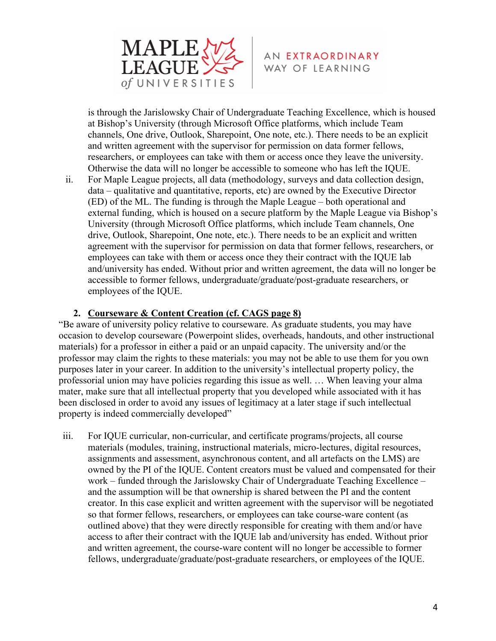

is through the Jarislowsky Chair of Undergraduate Teaching Excellence, which is housed at Bishop's University (through Microsoft Office platforms, which include Team channels, One drive, Outlook, Sharepoint, One note, etc.). There needs to be an explicit and written agreement with the supervisor for permission on data former fellows, researchers, or employees can take with them or access once they leave the university. Otherwise the data will no longer be accessible to someone who has left the IQUE.

ii. For Maple League projects, all data (methodology, surveys and data collection design, data – qualitative and quantitative, reports, etc) are owned by the Executive Director (ED) of the ML. The funding is through the Maple League – both operational and external funding, which is housed on a secure platform by the Maple League via Bishop's University (through Microsoft Office platforms, which include Team channels, One drive, Outlook, Sharepoint, One note, etc.). There needs to be an explicit and written agreement with the supervisor for permission on data that former fellows, researchers, or employees can take with them or access once they their contract with the IQUE lab and/university has ended. Without prior and written agreement, the data will no longer be accessible to former fellows, undergraduate/graduate/post-graduate researchers, or employees of the IQUE.

#### **2. Courseware & Content Creation (cf. CAGS page 8)**

"Be aware of university policy relative to courseware. As graduate students, you may have occasion to develop courseware (Powerpoint slides, overheads, handouts, and other instructional materials) for a professor in either a paid or an unpaid capacity. The university and/or the professor may claim the rights to these materials: you may not be able to use them for you own purposes later in your career. In addition to the university's intellectual property policy, the professorial union may have policies regarding this issue as well. … When leaving your alma mater, make sure that all intellectual property that you developed while associated with it has been disclosed in order to avoid any issues of legitimacy at a later stage if such intellectual property is indeed commercially developed"

iii. For IQUE curricular, non-curricular, and certificate programs/projects, all course materials (modules, training, instructional materials, micro-lectures, digital resources, assignments and assessment, asynchronous content, and all artefacts on the LMS) are owned by the PI of the IQUE. Content creators must be valued and compensated for their work – funded through the Jarislowsky Chair of Undergraduate Teaching Excellence – and the assumption will be that ownership is shared between the PI and the content creator. In this case explicit and written agreement with the supervisor will be negotiated so that former fellows, researchers, or employees can take course-ware content (as outlined above) that they were directly responsible for creating with them and/or have access to after their contract with the IQUE lab and/university has ended. Without prior and written agreement, the course-ware content will no longer be accessible to former fellows, undergraduate/graduate/post-graduate researchers, or employees of the IQUE.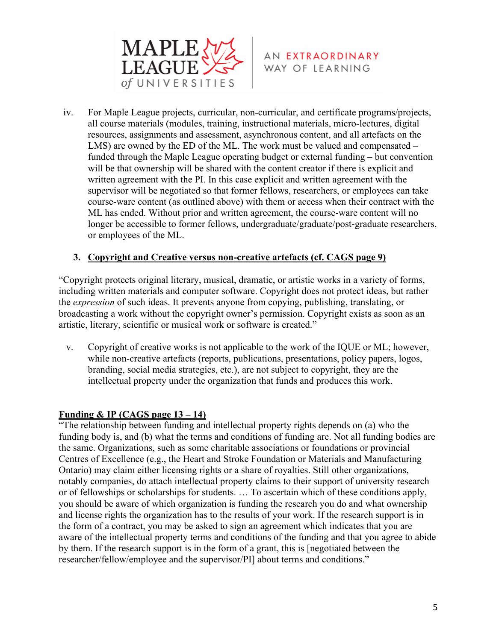



iv. For Maple League projects, curricular, non-curricular, and certificate programs/projects, all course materials (modules, training, instructional materials, micro-lectures, digital resources, assignments and assessment, asynchronous content, and all artefacts on the LMS) are owned by the ED of the ML. The work must be valued and compensated – funded through the Maple League operating budget or external funding – but convention will be that ownership will be shared with the content creator if there is explicit and written agreement with the PI. In this case explicit and written agreement with the supervisor will be negotiated so that former fellows, researchers, or employees can take course-ware content (as outlined above) with them or access when their contract with the ML has ended. Without prior and written agreement, the course-ware content will no longer be accessible to former fellows, undergraduate/graduate/post-graduate researchers, or employees of the ML.

#### **3. Copyright and Creative versus non-creative artefacts (cf. CAGS page 9)**

"Copyright protects original literary, musical, dramatic, or artistic works in a variety of forms, including written materials and computer software. Copyright does not protect ideas, but rather the *expression* of such ideas. It prevents anyone from copying, publishing, translating, or broadcasting a work without the copyright owner's permission. Copyright exists as soon as an artistic, literary, scientific or musical work or software is created."

v. Copyright of creative works is not applicable to the work of the IQUE or ML; however, while non-creative artefacts (reports, publications, presentations, policy papers, logos, branding, social media strategies, etc.), are not subject to copyright, they are the intellectual property under the organization that funds and produces this work.

#### **Funding & IP (CAGS page 13 – 14)**

"The relationship between funding and intellectual property rights depends on (a) who the funding body is, and (b) what the terms and conditions of funding are. Not all funding bodies are the same. Organizations, such as some charitable associations or foundations or provincial Centres of Excellence (e.g., the Heart and Stroke Foundation or Materials and Manufacturing Ontario) may claim either licensing rights or a share of royalties. Still other organizations, notably companies, do attach intellectual property claims to their support of university research or of fellowships or scholarships for students. … To ascertain which of these conditions apply, you should be aware of which organization is funding the research you do and what ownership and license rights the organization has to the results of your work. If the research support is in the form of a contract, you may be asked to sign an agreement which indicates that you are aware of the intellectual property terms and conditions of the funding and that you agree to abide by them. If the research support is in the form of a grant, this is [negotiated between the researcher/fellow/employee and the supervisor/PI] about terms and conditions."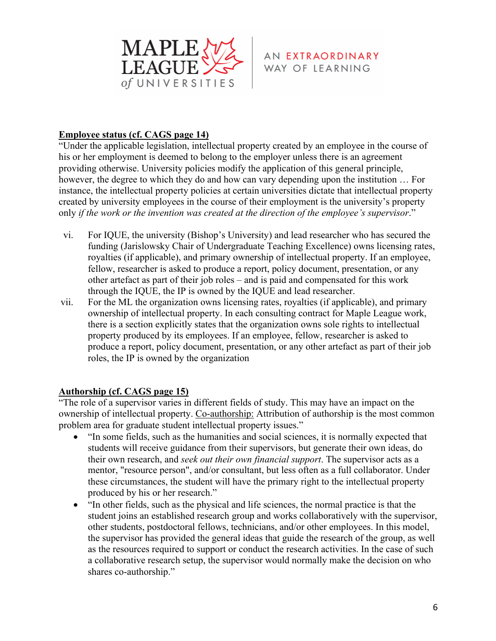

#### **Employee status (cf. CAGS page 14)**

"Under the applicable legislation, intellectual property created by an employee in the course of his or her employment is deemed to belong to the employer unless there is an agreement providing otherwise. University policies modify the application of this general principle, however, the degree to which they do and how can vary depending upon the institution … For instance, the intellectual property policies at certain universities dictate that intellectual property created by university employees in the course of their employment is the university's property only *if the work or the invention was created at the direction of the employee's supervisor*."

- vi. For IQUE, the university (Bishop's University) and lead researcher who has secured the funding (Jarislowsky Chair of Undergraduate Teaching Excellence) owns licensing rates, royalties (if applicable), and primary ownership of intellectual property. If an employee, fellow, researcher is asked to produce a report, policy document, presentation, or any other artefact as part of their job roles – and is paid and compensated for this work through the IQUE, the IP is owned by the IQUE and lead researcher.
- vii. For the ML the organization owns licensing rates, royalties (if applicable), and primary ownership of intellectual property. In each consulting contract for Maple League work, there is a section explicitly states that the organization owns sole rights to intellectual property produced by its employees. If an employee, fellow, researcher is asked to produce a report, policy document, presentation, or any other artefact as part of their job roles, the IP is owned by the organization

#### **Authorship (cf. CAGS page 15)**

"The role of a supervisor varies in different fields of study. This may have an impact on the ownership of intellectual property. Co-authorship: Attribution of authorship is the most common problem area for graduate student intellectual property issues."

- "In some fields, such as the humanities and social sciences, it is normally expected that students will receive guidance from their supervisors, but generate their own ideas, do their own research, and *seek out their own financial support*. The supervisor acts as a mentor, "resource person", and/or consultant, but less often as a full collaborator. Under these circumstances, the student will have the primary right to the intellectual property produced by his or her research."
- "In other fields, such as the physical and life sciences, the normal practice is that the student joins an established research group and works collaboratively with the supervisor, other students, postdoctoral fellows, technicians, and/or other employees. In this model, the supervisor has provided the general ideas that guide the research of the group, as well as the resources required to support or conduct the research activities. In the case of such a collaborative research setup, the supervisor would normally make the decision on who shares co-authorship."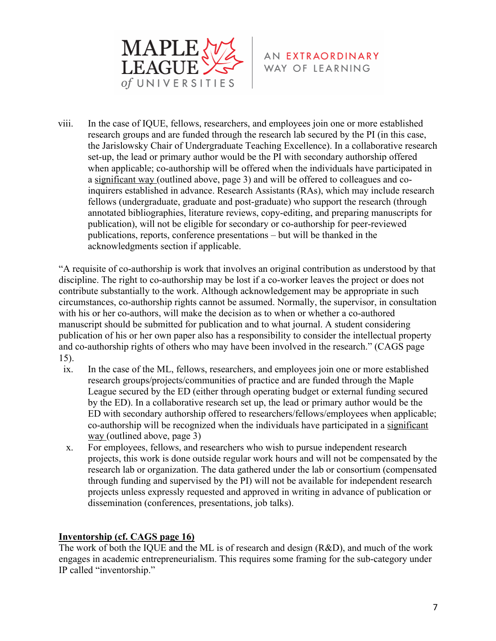



viii. In the case of IQUE, fellows, researchers, and employees join one or more established research groups and are funded through the research lab secured by the PI (in this case, the Jarislowsky Chair of Undergraduate Teaching Excellence). In a collaborative research set-up, the lead or primary author would be the PI with secondary authorship offered when applicable; co-authorship will be offered when the individuals have participated in a significant way (outlined above, page 3) and will be offered to colleagues and coinquirers established in advance. Research Assistants (RAs), which may include research fellows (undergraduate, graduate and post-graduate) who support the research (through annotated bibliographies, literature reviews, copy-editing, and preparing manuscripts for publication), will not be eligible for secondary or co-authorship for peer-reviewed publications, reports, conference presentations – but will be thanked in the acknowledgments section if applicable.

"A requisite of co-authorship is work that involves an original contribution as understood by that discipline. The right to co-authorship may be lost if a co-worker leaves the project or does not contribute substantially to the work. Although acknowledgement may be appropriate in such circumstances, co-authorship rights cannot be assumed. Normally, the supervisor, in consultation with his or her co-authors, will make the decision as to when or whether a co-authored manuscript should be submitted for publication and to what journal. A student considering publication of his or her own paper also has a responsibility to consider the intellectual property and co-authorship rights of others who may have been involved in the research." (CAGS page 15).

- ix. In the case of the ML, fellows, researchers, and employees join one or more established research groups/projects/communities of practice and are funded through the Maple League secured by the ED (either through operating budget or external funding secured by the ED). In a collaborative research set up, the lead or primary author would be the ED with secondary authorship offered to researchers/fellows/employees when applicable; co-authorship will be recognized when the individuals have participated in a significant way (outlined above, page 3)
- x. For employees, fellows, and researchers who wish to pursue independent research projects, this work is done outside regular work hours and will not be compensated by the research lab or organization. The data gathered under the lab or consortium (compensated through funding and supervised by the PI) will not be available for independent research projects unless expressly requested and approved in writing in advance of publication or dissemination (conferences, presentations, job talks).

## **Inventorship (cf. CAGS page 16)**

The work of both the IQUE and the ML is of research and design (R&D), and much of the work engages in academic entrepreneurialism. This requires some framing for the sub-category under IP called "inventorship."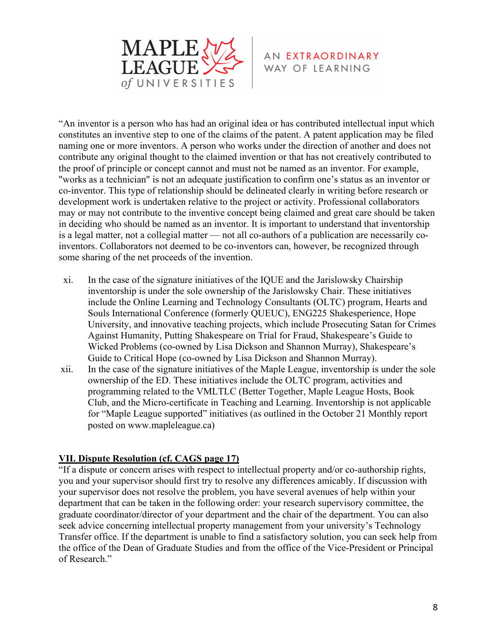

"An inventor is a person who has had an original idea or has contributed intellectual input which constitutes an inventive step to one of the claims of the patent. A patent application may be filed naming one or more inventors. A person who works under the direction of another and does not contribute any original thought to the claimed invention or that has not creatively contributed to the proof of principle or concept cannot and must not be named as an inventor. For example, "works as a technician" is not an adequate justification to confirm one's status as an inventor or co-inventor. This type of relationship should be delineated clearly in writing before research or development work is undertaken relative to the project or activity. Professional collaborators may or may not contribute to the inventive concept being claimed and great care should be taken in deciding who should be named as an inventor. It is important to understand that inventorship is a legal matter, not a collegial matter — not all co-authors of a publication are necessarily coinventors. Collaborators not deemed to be co-inventors can, however, be recognized through some sharing of the net proceeds of the invention.

- xi. In the case of the signature initiatives of the IQUE and the Jarislowsky Chairship inventorship is under the sole ownership of the Jarislowsky Chair. These initiatives include the Online Learning and Technology Consultants (OLTC) program, Hearts and Souls International Conference (formerly QUEUC), ENG225 Shakesperience, Hope University, and innovative teaching projects, which include Prosecuting Satan for Crimes Against Humanity, Putting Shakespeare on Trial for Fraud, Shakespeare's Guide to Wicked Problems (co-owned by Lisa Dickson and Shannon Murray), Shakespeare's Guide to Critical Hope (co-owned by Lisa Dickson and Shannon Murray).
- xii. In the case of the signature initiatives of the Maple League, inventorship is under the sole ownership of the ED. These initiatives include the OLTC program, activities and programming related to the VMLTLC (Better Together, Maple League Hosts, Book Club, and the Micro-certificate in Teaching and Learning. Inventorship is not applicable for "Maple League supported" initiatives (as outlined in the October 21 Monthly report posted on www.mapleleague.ca)

#### **VII. Dispute Resolution (cf. CAGS page 17)**

"If a dispute or concern arises with respect to intellectual property and/or co-authorship rights, you and your supervisor should first try to resolve any differences amicably. If discussion with your supervisor does not resolve the problem, you have several avenues of help within your department that can be taken in the following order: your research supervisory committee, the graduate coordinator/director of your department and the chair of the department. You can also seek advice concerning intellectual property management from your university's Technology Transfer office. If the department is unable to find a satisfactory solution, you can seek help from the office of the Dean of Graduate Studies and from the office of the Vice-President or Principal of Research."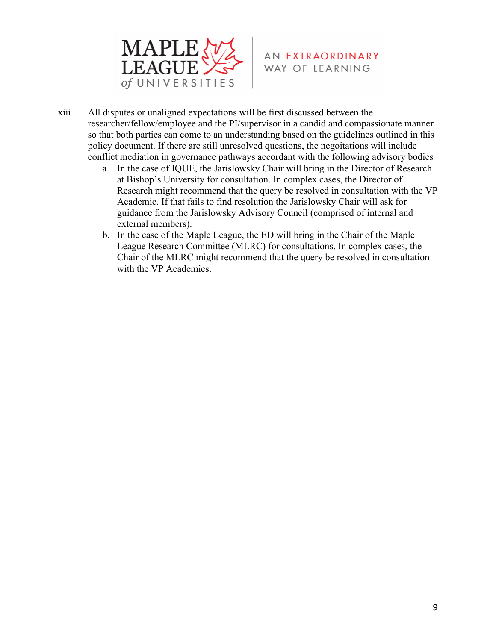

- AN EXTRAORDINARY WAY OF LEARNING
- xiii. All disputes or unaligned expectations will be first discussed between the researcher/fellow/employee and the PI/supervisor in a candid and compassionate manner so that both parties can come to an understanding based on the guidelines outlined in this policy document. If there are still unresolved questions, the negoitations will include conflict mediation in governance pathways accordant with the following advisory bodies
	- a. In the case of IQUE, the Jarislowsky Chair will bring in the Director of Research at Bishop's University for consultation. In complex cases, the Director of Research might recommend that the query be resolved in consultation with the VP Academic. If that fails to find resolution the Jarislowsky Chair will ask for guidance from the Jarislowsky Advisory Council (comprised of internal and external members).
	- b. In the case of the Maple League, the ED will bring in the Chair of the Maple League Research Committee (MLRC) for consultations. In complex cases, the Chair of the MLRC might recommend that the query be resolved in consultation with the VP Academics.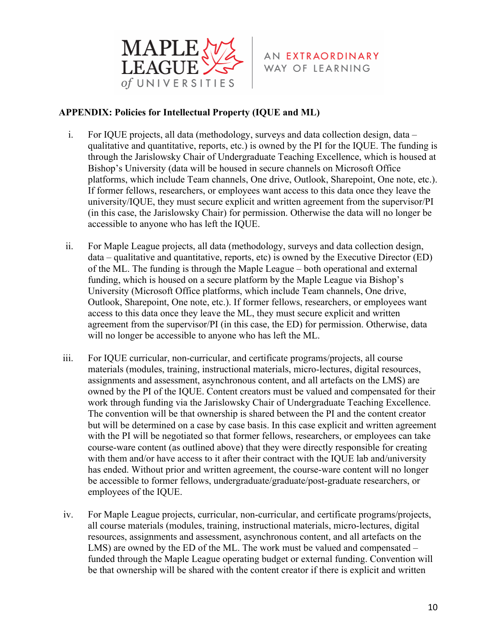

#### **APPENDIX: Policies for Intellectual Property (IQUE and ML)**

- i. For IQUE projects, all data (methodology, surveys and data collection design, data qualitative and quantitative, reports, etc.) is owned by the PI for the IQUE. The funding is through the Jarislowsky Chair of Undergraduate Teaching Excellence, which is housed at Bishop's University (data will be housed in secure channels on Microsoft Office platforms, which include Team channels, One drive, Outlook, Sharepoint, One note, etc.). If former fellows, researchers, or employees want access to this data once they leave the university/IQUE, they must secure explicit and written agreement from the supervisor/PI (in this case, the Jarislowsky Chair) for permission. Otherwise the data will no longer be accessible to anyone who has left the IQUE.
- ii. For Maple League projects, all data (methodology, surveys and data collection design, data – qualitative and quantitative, reports, etc) is owned by the Executive Director (ED) of the ML. The funding is through the Maple League – both operational and external funding, which is housed on a secure platform by the Maple League via Bishop's University (Microsoft Office platforms, which include Team channels, One drive, Outlook, Sharepoint, One note, etc.). If former fellows, researchers, or employees want access to this data once they leave the ML, they must secure explicit and written agreement from the supervisor/PI (in this case, the ED) for permission. Otherwise, data will no longer be accessible to anyone who has left the ML.
- iii. For IQUE curricular, non-curricular, and certificate programs/projects, all course materials (modules, training, instructional materials, micro-lectures, digital resources, assignments and assessment, asynchronous content, and all artefacts on the LMS) are owned by the PI of the IQUE. Content creators must be valued and compensated for their work through funding via the Jarislowsky Chair of Undergraduate Teaching Excellence. The convention will be that ownership is shared between the PI and the content creator but will be determined on a case by case basis. In this case explicit and written agreement with the PI will be negotiated so that former fellows, researchers, or employees can take course-ware content (as outlined above) that they were directly responsible for creating with them and/or have access to it after their contract with the IQUE lab and/university has ended. Without prior and written agreement, the course-ware content will no longer be accessible to former fellows, undergraduate/graduate/post-graduate researchers, or employees of the IQUE.
- iv. For Maple League projects, curricular, non-curricular, and certificate programs/projects, all course materials (modules, training, instructional materials, micro-lectures, digital resources, assignments and assessment, asynchronous content, and all artefacts on the LMS) are owned by the ED of the ML. The work must be valued and compensated – funded through the Maple League operating budget or external funding. Convention will be that ownership will be shared with the content creator if there is explicit and written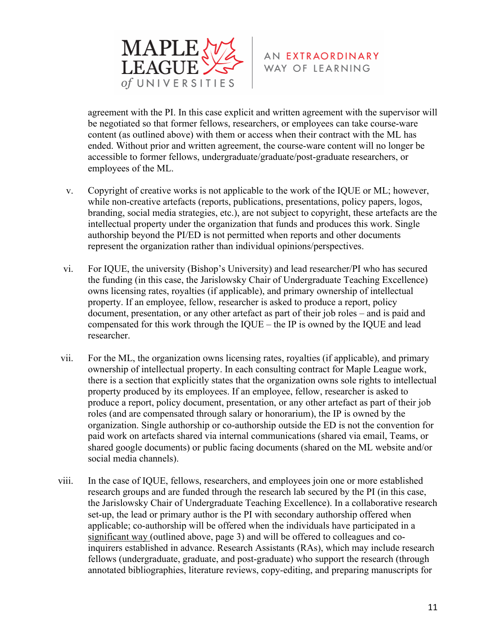

agreement with the PI. In this case explicit and written agreement with the supervisor will be negotiated so that former fellows, researchers, or employees can take course-ware content (as outlined above) with them or access when their contract with the ML has ended. Without prior and written agreement, the course-ware content will no longer be accessible to former fellows, undergraduate/graduate/post-graduate researchers, or employees of the ML.

- v. Copyright of creative works is not applicable to the work of the IQUE or ML; however, while non-creative artefacts (reports, publications, presentations, policy papers, logos, branding, social media strategies, etc.), are not subject to copyright, these artefacts are the intellectual property under the organization that funds and produces this work. Single authorship beyond the PI/ED is not permitted when reports and other documents represent the organization rather than individual opinions/perspectives.
- vi. For IQUE, the university (Bishop's University) and lead researcher/PI who has secured the funding (in this case, the Jarislowsky Chair of Undergraduate Teaching Excellence) owns licensing rates, royalties (if applicable), and primary ownership of intellectual property. If an employee, fellow, researcher is asked to produce a report, policy document, presentation, or any other artefact as part of their job roles – and is paid and compensated for this work through the IQUE – the IP is owned by the IQUE and lead researcher.
- vii. For the ML, the organization owns licensing rates, royalties (if applicable), and primary ownership of intellectual property. In each consulting contract for Maple League work, there is a section that explicitly states that the organization owns sole rights to intellectual property produced by its employees. If an employee, fellow, researcher is asked to produce a report, policy document, presentation, or any other artefact as part of their job roles (and are compensated through salary or honorarium), the IP is owned by the organization. Single authorship or co-authorship outside the ED is not the convention for paid work on artefacts shared via internal communications (shared via email, Teams, or shared google documents) or public facing documents (shared on the ML website and/or social media channels).
- viii. In the case of IQUE, fellows, researchers, and employees join one or more established research groups and are funded through the research lab secured by the PI (in this case, the Jarislowsky Chair of Undergraduate Teaching Excellence). In a collaborative research set-up, the lead or primary author is the PI with secondary authorship offered when applicable; co-authorship will be offered when the individuals have participated in a significant way (outlined above, page 3) and will be offered to colleagues and coinquirers established in advance. Research Assistants (RAs), which may include research fellows (undergraduate, graduate, and post-graduate) who support the research (through annotated bibliographies, literature reviews, copy-editing, and preparing manuscripts for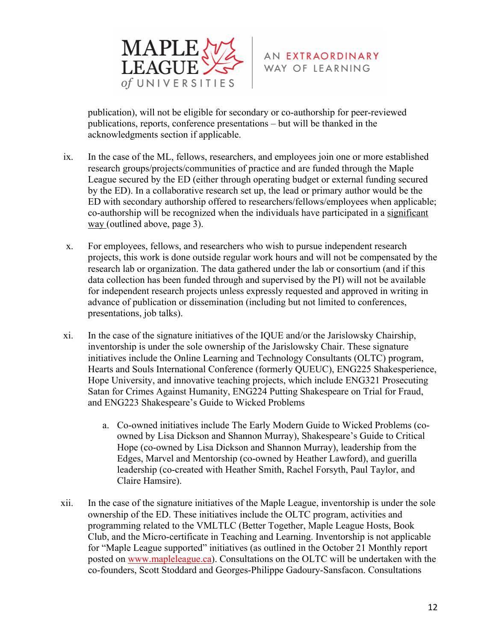

publication), will not be eligible for secondary or co-authorship for peer-reviewed publications, reports, conference presentations – but will be thanked in the acknowledgments section if applicable.

- ix. In the case of the ML, fellows, researchers, and employees join one or more established research groups/projects/communities of practice and are funded through the Maple League secured by the ED (either through operating budget or external funding secured by the ED). In a collaborative research set up, the lead or primary author would be the ED with secondary authorship offered to researchers/fellows/employees when applicable; co-authorship will be recognized when the individuals have participated in a significant way (outlined above, page 3).
- x. For employees, fellows, and researchers who wish to pursue independent research projects, this work is done outside regular work hours and will not be compensated by the research lab or organization. The data gathered under the lab or consortium (and if this data collection has been funded through and supervised by the PI) will not be available for independent research projects unless expressly requested and approved in writing in advance of publication or dissemination (including but not limited to conferences, presentations, job talks).
- xi. In the case of the signature initiatives of the IQUE and/or the Jarislowsky Chairship, inventorship is under the sole ownership of the Jarislowsky Chair. These signature initiatives include the Online Learning and Technology Consultants (OLTC) program, Hearts and Souls International Conference (formerly QUEUC), ENG225 Shakesperience, Hope University, and innovative teaching projects, which include ENG321 Prosecuting Satan for Crimes Against Humanity, ENG224 Putting Shakespeare on Trial for Fraud, and ENG223 Shakespeare's Guide to Wicked Problems
	- a. Co-owned initiatives include The Early Modern Guide to Wicked Problems (coowned by Lisa Dickson and Shannon Murray), Shakespeare's Guide to Critical Hope (co-owned by Lisa Dickson and Shannon Murray), leadership from the Edges, Marvel and Mentorship (co-owned by Heather Lawford), and guerilla leadership (co-created with Heather Smith, Rachel Forsyth, Paul Taylor, and Claire Hamsire).
- xii. In the case of the signature initiatives of the Maple League, inventorship is under the sole ownership of the ED. These initiatives include the OLTC program, activities and programming related to the VMLTLC (Better Together, Maple League Hosts, Book Club, and the Micro-certificate in Teaching and Learning. Inventorship is not applicable for "Maple League supported" initiatives (as outlined in the October 21 Monthly report posted on www.mapleleague.ca). Consultations on the OLTC will be undertaken with the co-founders, Scott Stoddard and Georges-Philippe Gadoury-Sansfacon. Consultations